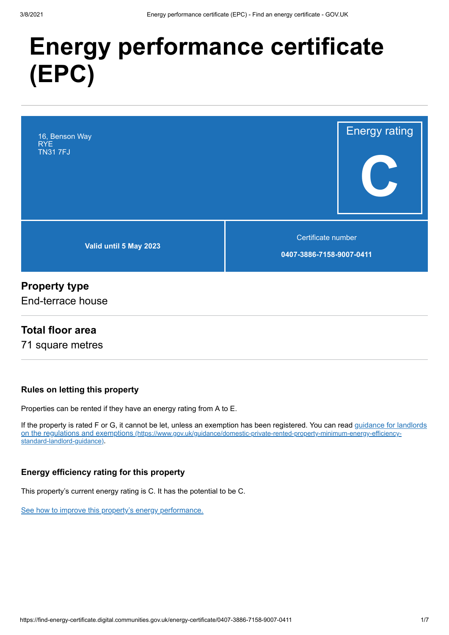# **Energy performance certificate (EPC)**



### **Property type**

End-terrace house

### **Total floor area**

71 square metres

### **Rules on letting this property**

Properties can be rented if they have an energy rating from A to E.

If the property is rated F or G, it cannot be let, unless an exemption has been registered. You can read guidance for landlords on the regulations and exemptions (https://www.gov.uk/guidance/domestic-private-rented-property-minimum-energy-efficiencystandard-landlord-guidance).

### **Energy efficiency rating for this property**

This property's current energy rating is C. It has the potential to be C.

See how to improve this property's energy performance.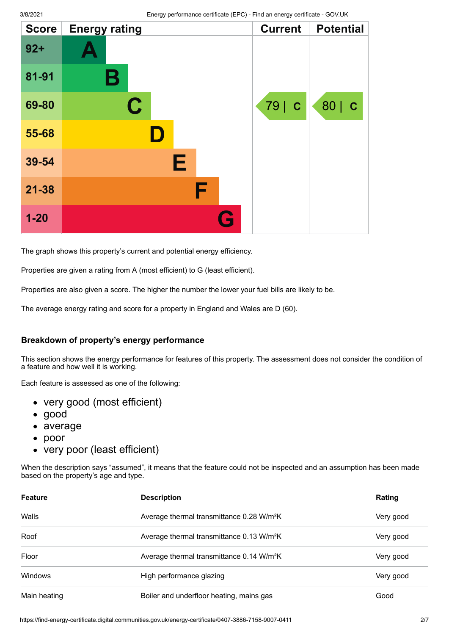| <b>Score</b> | <b>Energy rating</b> | <b>Current</b> | <b>Potential</b> |
|--------------|----------------------|----------------|------------------|
| $92 +$       |                      |                |                  |
| 81-91        | В                    |                |                  |
| 69-80        | C                    | 79   C         | 80   C           |
| 55-68        |                      |                |                  |
| 39-54        | Е                    |                |                  |
| $21 - 38$    | F                    |                |                  |
| $1 - 20$     | G                    |                |                  |

The graph shows this property's current and potential energy efficiency.

Properties are given a rating from A (most efficient) to G (least efficient).

Properties are also given a score. The higher the number the lower your fuel bills are likely to be.

The average energy rating and score for a property in England and Wales are D (60).

#### **Breakdown of property's energy performance**

This section shows the energy performance for features of this property. The assessment does not consider the condition of a feature and how well it is working.

Each feature is assessed as one of the following:

- very good (most efficient)
- good
- average
- poor  $\bullet$
- very poor (least efficient)

When the description says "assumed", it means that the feature could not be inspected and an assumption has been made based on the property's age and type.

| <b>Feature</b> | <b>Description</b>                                    | Rating    |
|----------------|-------------------------------------------------------|-----------|
| Walls          | Average thermal transmittance 0.28 W/m <sup>2</sup> K | Very good |
| Roof           | Average thermal transmittance 0.13 W/m <sup>2</sup> K | Very good |
| Floor          | Average thermal transmittance 0.14 W/m <sup>2</sup> K | Very good |
| <b>Windows</b> | High performance glazing                              | Very good |
| Main heating   | Boiler and underfloor heating, mains gas              | Good      |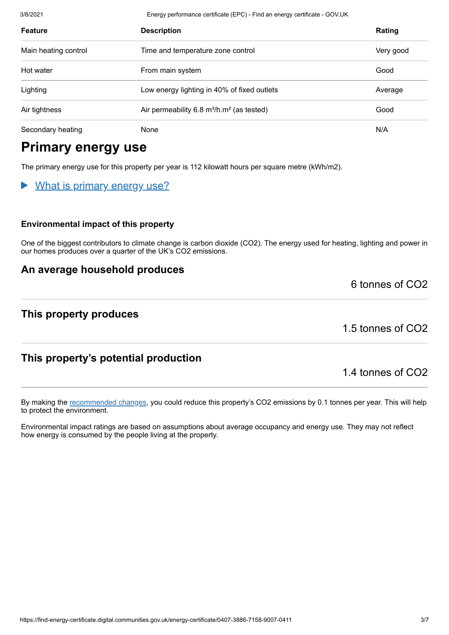3/8/2021 Energy performance certificate (EPC) - Find an energy certificate - GOV.UK

| <b>Feature</b>       | <b>Description</b>                                                | Rating    |
|----------------------|-------------------------------------------------------------------|-----------|
| Main heating control | Time and temperature zone control                                 | Very good |
| Hot water            | From main system                                                  | Good      |
| Lighting             | Low energy lighting in 40% of fixed outlets                       | Average   |
| Air tightness        | Air permeability 6.8 m <sup>3</sup> /h.m <sup>2</sup> (as tested) | Good      |
| Secondary heating    | None                                                              | N/A       |

### **Primary energy use**

The primary energy use for this property per year is 112 kilowatt hours per square metre (kWh/m2).

#### What is primary energy use?  $\blacktriangleright$

#### **Environmental impact of this property**

One of the biggest contributors to climate change is carbon dioxide (CO2). The energy used for heating, lighting and power in our homes produces over a quarter of the UK's CO2 emissions.

### **An average household produces**

### **This property produces**

1.5 tonnes of CO2

6 tonnes of CO2

### **This property's potential production**

1.4 tonnes of CO2

By making the recommended changes, you could reduce this property's CO2 emissions by 0.1 tonnes per year. This will help to protect the environment.

Environmental impact ratings are based on assumptions about average occupancy and energy use. They may not reflect how energy is consumed by the people living at the property.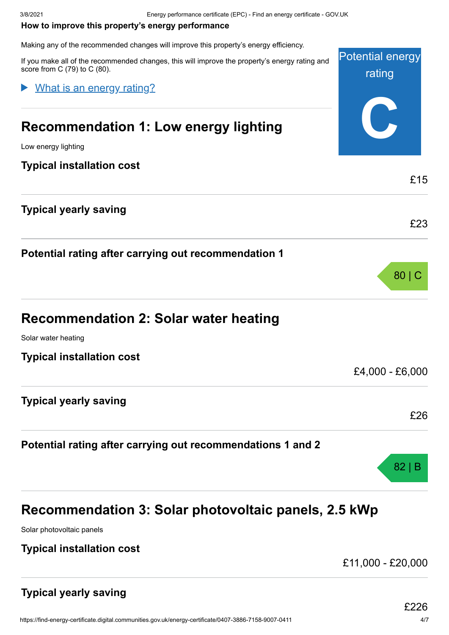#### **How to improve this property's energy performance**

Making any of the recommended changes will improve this property's energy efficiency.

| maning any or the recommended changes will improve this property's energy emolency.<br>If you make all of the recommended changes, this will improve the property's energy rating and<br>score from C (79) to C (80). | <b>Potential energy</b><br>rating |
|-----------------------------------------------------------------------------------------------------------------------------------------------------------------------------------------------------------------------|-----------------------------------|
| What is an energy rating?                                                                                                                                                                                             |                                   |
| Recommendation 1: Low energy lighting                                                                                                                                                                                 |                                   |
| Low energy lighting                                                                                                                                                                                                   |                                   |
| <b>Typical installation cost</b>                                                                                                                                                                                      | £15                               |
| <b>Typical yearly saving</b>                                                                                                                                                                                          |                                   |
|                                                                                                                                                                                                                       | £23                               |
| Potential rating after carrying out recommendation 1                                                                                                                                                                  |                                   |
|                                                                                                                                                                                                                       | 80 C                              |
| <b>Recommendation 2: Solar water heating</b>                                                                                                                                                                          |                                   |
| Solar water heating                                                                                                                                                                                                   |                                   |
| <b>Typical installation cost</b>                                                                                                                                                                                      |                                   |
|                                                                                                                                                                                                                       | £4,000 - £6,000                   |
| <b>Typical yearly saving</b>                                                                                                                                                                                          |                                   |
|                                                                                                                                                                                                                       | £26                               |
| Potential rating after carrying out recommendations 1 and 2                                                                                                                                                           |                                   |
|                                                                                                                                                                                                                       | 82 B                              |

## **Recommendation 3: Solar photovoltaic panels, 2.5 kWp**

Solar photovoltaic panels

### **Typical installation cost**

£11,000 - £20,000

### **Typical yearly saving**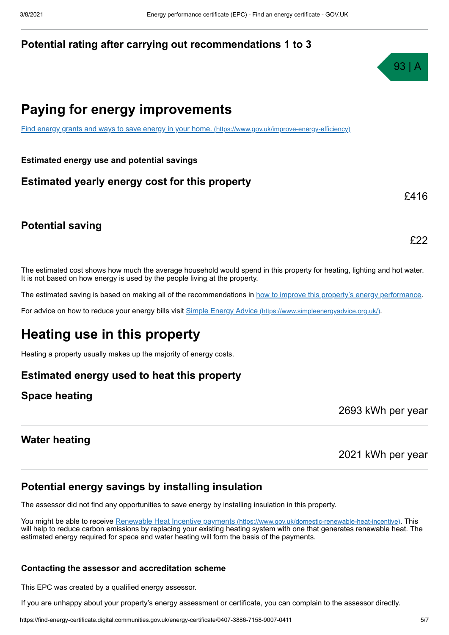### **Potential rating after carrying out recommendations 1 to 3**



£416

£22

### **Paying for energy improvements**

Find energy grants and ways to save energy in your home. (https://www.gov.uk/improve-energy-efficiency)

#### **Estimated energy use and potential savings**

### **Estimated yearly energy cost for this property**

### **Potential saving**

The estimated cost shows how much the average household would spend in this property for heating, lighting and hot water. It is not based on how energy is used by the people living at the property.

The estimated saving is based on making all of the recommendations in how to improve this property's energy performance.

For advice on how to reduce your energy bills visit Simple Energy Advice (https://www.simpleenergyadvice.org.uk/).

### **Heating use in this property**

Heating a property usually makes up the majority of energy costs.

### **Estimated energy used to heat this property**

### **Space heating**

**Water heating**

2021 kWh per year

2693 kWh per year

### **Potential energy savings by installing insulation**

The assessor did not find any opportunities to save energy by installing insulation in this property.

You might be able to receive Renewable Heat Incentive payments (https://www.gov.uk/domestic-renewable-heat-incentive). This will help to reduce carbon emissions by replacing your existing heating system with one that generates renewable heat. The estimated energy required for space and water heating will form the basis of the payments.

#### **Contacting the assessor and accreditation scheme**

This EPC was created by a qualified energy assessor.

If you are unhappy about your property's energy assessment or certificate, you can complain to the assessor directly.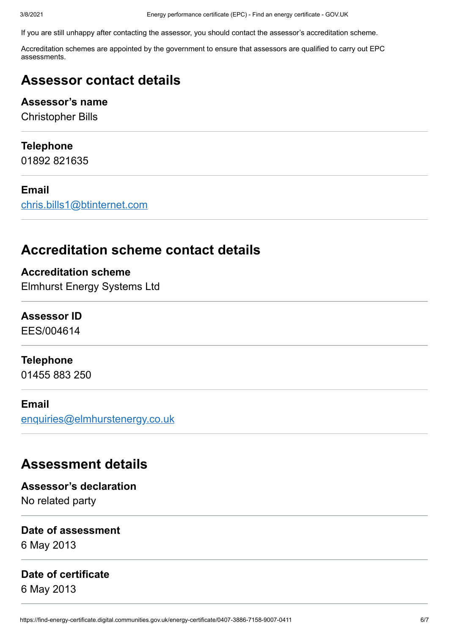If you are still unhappy after contacting the assessor, you should contact the assessor's accreditation scheme.

Accreditation schemes are appointed by the government to ensure that assessors are qualified to carry out EPC assessments.

### **Assessor contact details**

### **Assessor's name**

Christopher Bills

### **Telephone**

01892 821635

### **Email**

chris.bills1@btinternet.com

### **Accreditation scheme contact details**

**Accreditation scheme** Elmhurst Energy Systems Ltd

### **Assessor ID**

EES/004614

### **Telephone**

01455 883 250

### **Email**

enquiries@elmhurstenergy.co.uk

### **Assessment details**

### **Assessor's declaration** No related party

### **Date of assessment**

6 May 2013

### **Date of certificate**

6 May 2013